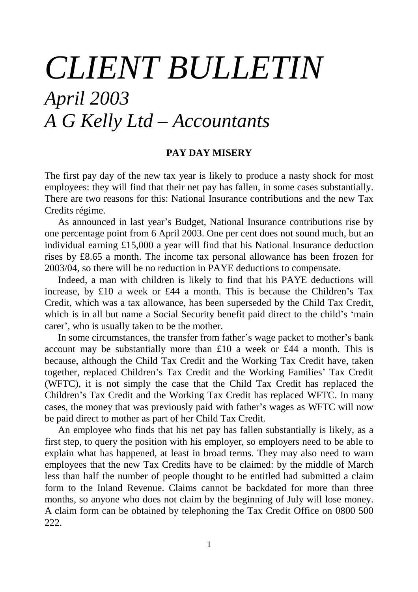# *CLIENT BULLETIN April 2003 A G Kelly Ltd – Accountants*

## **PAY DAY MISERY**

The first pay day of the new tax year is likely to produce a nasty shock for most employees: they will find that their net pay has fallen, in some cases substantially. There are two reasons for this: National Insurance contributions and the new Tax Credits régime.

As announced in last year's Budget, National Insurance contributions rise by one percentage point from 6 April 2003. One per cent does not sound much, but an individual earning £15,000 a year will find that his National Insurance deduction rises by £8.65 a month. The income tax personal allowance has been frozen for 2003/04, so there will be no reduction in PAYE deductions to compensate.

Indeed, a man with children is likely to find that his PAYE deductions will increase, by £10 a week or £44 a month. This is because the Children's Tax Credit, which was a tax allowance, has been superseded by the Child Tax Credit, which is in all but name a Social Security benefit paid direct to the child's 'main carer', who is usually taken to be the mother.

In some circumstances, the transfer from father's wage packet to mother's bank account may be substantially more than £10 a week or £44 a month. This is because, although the Child Tax Credit and the Working Tax Credit have, taken together, replaced Children's Tax Credit and the Working Families' Tax Credit (WFTC), it is not simply the case that the Child Tax Credit has replaced the Children's Tax Credit and the Working Tax Credit has replaced WFTC. In many cases, the money that was previously paid with father's wages as WFTC will now be paid direct to mother as part of her Child Tax Credit.

An employee who finds that his net pay has fallen substantially is likely, as a first step, to query the position with his employer, so employers need to be able to explain what has happened, at least in broad terms. They may also need to warn employees that the new Tax Credits have to be claimed: by the middle of March less than half the number of people thought to be entitled had submitted a claim form to the Inland Revenue. Claims cannot be backdated for more than three months, so anyone who does not claim by the beginning of July will lose money. A claim form can be obtained by telephoning the Tax Credit Office on 0800 500 222.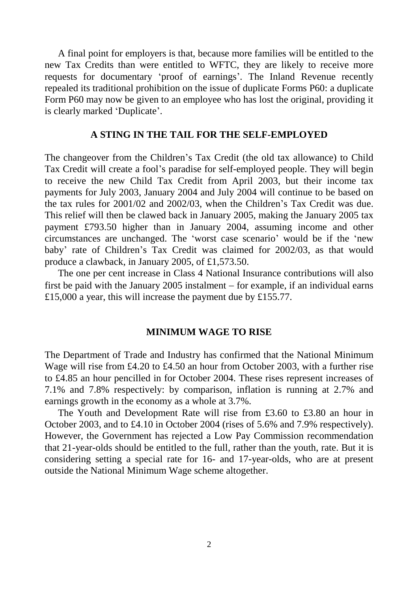A final point for employers is that, because more families will be entitled to the new Tax Credits than were entitled to WFTC, they are likely to receive more requests for documentary 'proof of earnings'. The Inland Revenue recently repealed its traditional prohibition on the issue of duplicate Forms P60: a duplicate Form P60 may now be given to an employee who has lost the original, providing it is clearly marked 'Duplicate'.

## **A STING IN THE TAIL FOR THE SELF-EMPLOYED**

The changeover from the Children's Tax Credit (the old tax allowance) to Child Tax Credit will create a fool's paradise for self-employed people. They will begin to receive the new Child Tax Credit from April 2003, but their income tax payments for July 2003, January 2004 and July 2004 will continue to be based on the tax rules for 2001/02 and 2002/03, when the Children's Tax Credit was due. This relief will then be clawed back in January 2005, making the January 2005 tax payment £793.50 higher than in January 2004, assuming income and other circumstances are unchanged. The 'worst case scenario' would be if the 'new baby' rate of Children's Tax Credit was claimed for 2002/03, as that would produce a clawback, in January 2005, of £1,573.50.

The one per cent increase in Class 4 National Insurance contributions will also first be paid with the January  $2005$  instalment  $-$  for example, if an individual earns £15,000 a year, this will increase the payment due by £155.77.

#### **MINIMUM WAGE TO RISE**

The Department of Trade and Industry has confirmed that the National Minimum Wage will rise from £4.20 to £4.50 an hour from October 2003, with a further rise to £4.85 an hour pencilled in for October 2004. These rises represent increases of 7.1% and 7.8% respectively: by comparison, inflation is running at 2.7% and earnings growth in the economy as a whole at 3.7%.

The Youth and Development Rate will rise from £3.60 to £3.80 an hour in October 2003, and to £4.10 in October 2004 (rises of 5.6% and 7.9% respectively). However, the Government has rejected a Low Pay Commission recommendation that 21-year-olds should be entitled to the full, rather than the youth, rate. But it is considering setting a special rate for 16- and 17-year-olds, who are at present outside the National Minimum Wage scheme altogether.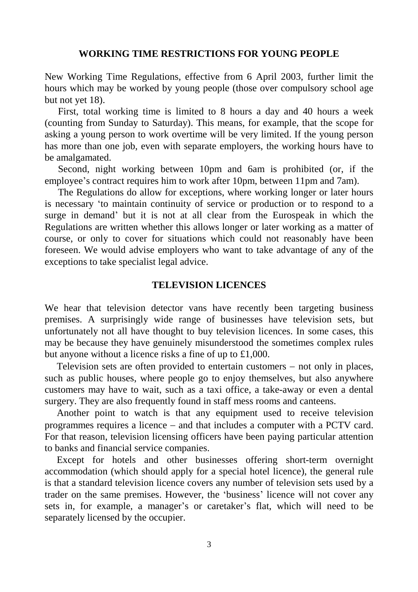#### **WORKING TIME RESTRICTIONS FOR YOUNG PEOPLE**

New Working Time Regulations, effective from 6 April 2003, further limit the hours which may be worked by young people (those over compulsory school age but not yet 18).

First, total working time is limited to 8 hours a day and 40 hours a week (counting from Sunday to Saturday). This means, for example, that the scope for asking a young person to work overtime will be very limited. If the young person has more than one job, even with separate employers, the working hours have to be amalgamated.

Second, night working between 10pm and 6am is prohibited (or, if the employee's contract requires him to work after 10pm, between 11pm and 7am).

The Regulations do allow for exceptions, where working longer or later hours is necessary 'to maintain continuity of service or production or to respond to a surge in demand' but it is not at all clear from the Eurospeak in which the Regulations are written whether this allows longer or later working as a matter of course, or only to cover for situations which could not reasonably have been foreseen. We would advise employers who want to take advantage of any of the exceptions to take specialist legal advice.

#### **TELEVISION LICENCES**

We hear that television detector vans have recently been targeting business premises. A surprisingly wide range of businesses have television sets, but unfortunately not all have thought to buy television licences. In some cases, this may be because they have genuinely misunderstood the sometimes complex rules but anyone without a licence risks a fine of up to £1,000.

Television sets are often provided to entertain customers  $-$  not only in places, such as public houses, where people go to enjoy themselves, but also anywhere customers may have to wait, such as a taxi office, a take-away or even a dental surgery. They are also frequently found in staff mess rooms and canteens.

Another point to watch is that any equipment used to receive television programmes requires a licence  $-$  and that includes a computer with a PCTV card. For that reason, television licensing officers have been paying particular attention to banks and financial service companies.

Except for hotels and other businesses offering short-term overnight accommodation (which should apply for a special hotel licence), the general rule is that a standard television licence covers any number of television sets used by a trader on the same premises. However, the 'business'licence will not cover any sets in, for example, a manager's or caretaker's flat, which will need to be separately licensed by the occupier.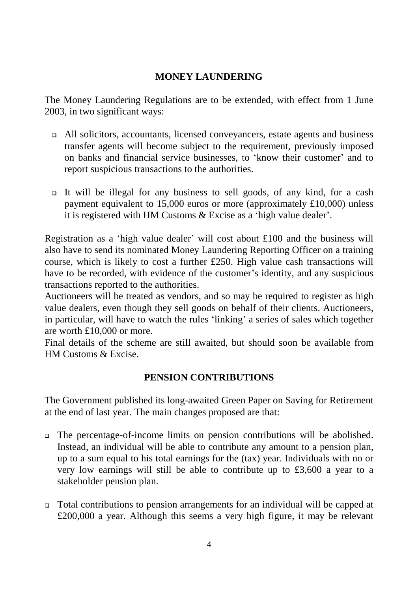# **MONEY LAUNDERING**

The Money Laundering Regulations are to be extended, with effect from 1 June 2003, in two significant ways:

- All solicitors, accountants, licensed conveyancers, estate agents and business transfer agents will become subject to the requirement, previously imposed on banks and financial service businesses, to 'know their customer' and to report suspicious transactions to the authorities.
- It will be illegal for any business to sell goods, of any kind, for a cash payment equivalent to 15,000 euros or more (approximately £10,000) unless it is registered with HM Customs & Excise as a 'high value dealer'.

Registration as a 'high value dealer' will cost about £100 and the business will also have to send its nominated Money Laundering Reporting Officer on a training course, which is likely to cost a further £250. High value cash transactions will have to be recorded, with evidence of the customer's identity, and any suspicious transactions reported to the authorities.

Auctioneers will be treated as vendors, and so may be required to register as high value dealers, even though they sell goods on behalf of their clients. Auctioneers, in particular, will have to watch the rules 'linking' a series of sales which together are worth £10,000 or more.

Final details of the scheme are still awaited, but should soon be available from HM Customs & Excise.

# **PENSION CONTRIBUTIONS**

The Government published its long-awaited Green Paper on Saving for Retirement at the end of last year. The main changes proposed are that:

- The percentage-of-income limits on pension contributions will be abolished. Instead, an individual will be able to contribute any amount to a pension plan, up to a sum equal to his total earnings for the (tax) year. Individuals with no or very low earnings will still be able to contribute up to £3,600 a year to a stakeholder pension plan.
- Total contributions to pension arrangements for an individual will be capped at £200,000 a year. Although this seems a very high figure, it may be relevant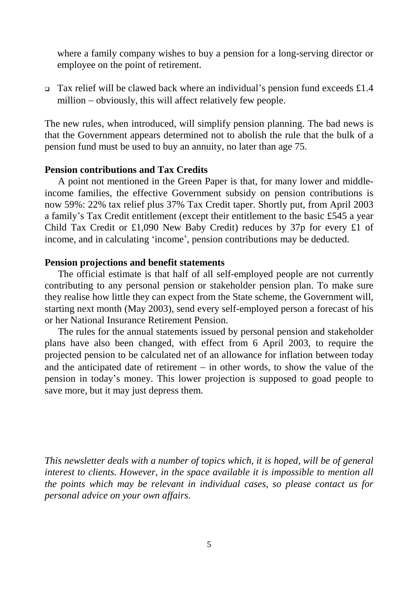where a family company wishes to buy a pension for a long-serving director or employee on the point of retirement.

Tax relief will be clawed back where an individual's pension fund exceeds  $\pounds$ 1.4 million  $-$  obviously, this will affect relatively few people.

The new rules, when introduced, will simplify pension planning. The bad news is that the Government appears determined not to abolish the rule that the bulk of a pension fund must be used to buy an annuity, no later than age 75.

## **Pension contributions and Tax Credits**

A point not mentioned in the Green Paper is that, for many lower and middleincome families, the effective Government subsidy on pension contributions is now 59%: 22% tax relief plus 37% Tax Credit taper. Shortly put, from April 2003 a family's Tax Credit entitlement (except their entitlement to the basic £545 a year Child Tax Credit or £1,090 New Baby Credit) reduces by 37p for every £1 of income, and in calculating 'income', pension contributions may be deducted.

# **Pension projections and benefit statements**

The official estimate is that half of all self-employed people are not currently contributing to any personal pension or stakeholder pension plan. To make sure they realise how little they can expect from the State scheme, the Government will, starting next month (May 2003), send every self-employed person a forecast of his or her National Insurance Retirement Pension.

The rules for the annual statements issued by personal pension and stakeholder plans have also been changed, with effect from 6 April 2003, to require the projected pension to be calculated net of an allowance for inflation between today and the anticipated date of retirement  $-$  in other words, to show the value of the pension in today's money. This lower projection is supposed to goad people to save more, but it may just depress them.

*This newsletter deals with a number of topics which, it is hoped, will be of general interest to clients. However, in the space available it is impossible to mention all the points which may be relevant in individual cases, so please contact us for personal advice on your own affairs.*